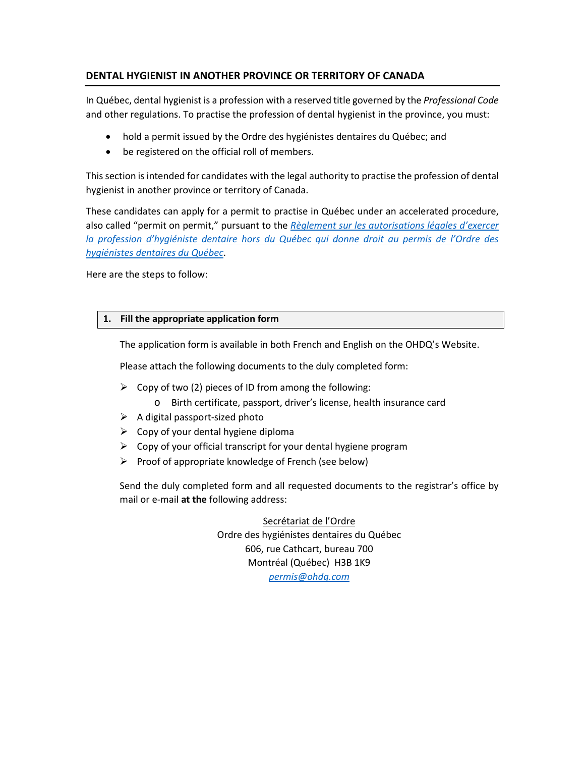# **DENTAL HYGIENIST IN ANOTHER PROVINCE OR TERRITORY OF CANADA**

In Québec, dental hygienist is a profession with a reserved title governed by the *Professional Code* and other regulations. To practise the profession of dental hygienist in the province, you must:

- hold a permit issued by the Ordre des hygiénistes dentaires du Québec; and
- be registered on the official roll of members.

This section is intended for candidates with the legal authority to practise the profession of dental hygienist in another province or territory of Canada.

These candidates can apply for a permit to practise in Québec under an accelerated procedure, also called "permit on permit," pursuant to the *[Règlement sur les autorisations légales d'exercer](http://legisquebec.gouv.qc.ca/fr/ShowDoc/cr/C-26,%20r.%20137/)  [la profession d'hygiéniste dentaire hors du Québec qui donne droit au permis de l'Ordre des](http://legisquebec.gouv.qc.ca/fr/ShowDoc/cr/C-26,%20r.%20137/)  [hygiénistes dentaires du Québec](http://legisquebec.gouv.qc.ca/fr/ShowDoc/cr/C-26,%20r.%20137/)*.

Here are the steps to follow:

# **1. Fill the appropriate application form**

The application form is available in both French and English on the OHDQ's Website.

Please attach the following documents to the duly completed form:

- $\triangleright$  Copy of two (2) pieces of ID from among the following:
	- o Birth certificate, passport, driver's license, health insurance card
- $\triangleright$  A digital passport-sized photo
- $\triangleright$  Copy of your dental hygiene diploma
- $\triangleright$  Copy of your official transcript for your dental hygiene program
- $\triangleright$  Proof of appropriate knowledge of French (see below)

Send the duly completed form and all requested documents to the registrar's office by mail or e-mail **at the** following address:

> Secrétariat de l'Ordre Ordre des hygiénistes dentaires du Québec 606, rue Cathcart, bureau 700 Montréal (Québec) H3B 1K9 *[permis@ohdq.com](mailto:permis@ohdq.com)*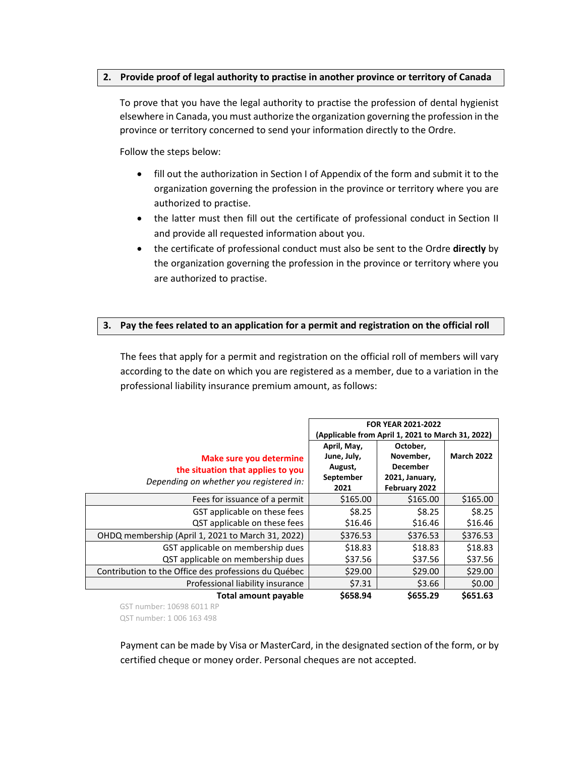# **2. Provide proof of legal authority to practise in another province or territory of Canada**

To prove that you have the legal authority to practise the profession of dental hygienist elsewhere in Canada, you must authorize the organization governing the profession in the province or territory concerned to send your information directly to the Ordre.

Follow the steps below:

- fill out the authorization in Section I of Appendix of the form and submit it to the organization governing the profession in the province or territory where you are authorized to practise.
- the latter must then fill out the certificate of professional conduct in Section II and provide all requested information about you.
- the certificate of professional conduct must also be sent to the Ordre **directly** by the organization governing the profession in the province or territory where you are authorized to practise.

# **3. Pay the fees related to an application for a permit and registration on the official roll**

The fees that apply for a permit and registration on the official roll of members will vary according to the date on which you are registered as a member, due to a variation in the professional liability insurance premium amount, as follows:

|                                                      | <b>FOR YEAR 2021-2022</b>                         |                 |                   |
|------------------------------------------------------|---------------------------------------------------|-----------------|-------------------|
|                                                      | (Applicable from April 1, 2021 to March 31, 2022) |                 |                   |
|                                                      | April, May,                                       | October,        |                   |
| Make sure you determine                              | June, July,                                       | November,       | <b>March 2022</b> |
| the situation that applies to you                    | August,                                           | <b>December</b> |                   |
| Depending on whether you registered in:              | September                                         | 2021, January,  |                   |
|                                                      | 2021                                              | February 2022   |                   |
| Fees for issuance of a permit                        | \$165.00                                          | \$165.00        | \$165.00          |
| GST applicable on these fees                         | \$8.25                                            | \$8.25          | \$8.25            |
| QST applicable on these fees                         | \$16.46                                           | \$16.46         | \$16.46           |
| OHDQ membership (April 1, 2021 to March 31, 2022)    | \$376.53                                          | \$376.53        | \$376.53          |
| GST applicable on membership dues                    | \$18.83                                           | \$18.83         | \$18.83           |
| QST applicable on membership dues                    | \$37.56                                           | \$37.56         | \$37.56           |
| Contribution to the Office des professions du Québec | \$29.00                                           | \$29.00         | \$29.00           |
| Professional liability insurance                     | \$7.31                                            | \$3.66          | \$0.00            |
| <b>Total amount payable</b>                          | \$658.94                                          | \$655.29        | \$651.63          |

GST number: 10698 6011 RP QST number: 1 006 163 498

Payment can be made by Visa or MasterCard, in the designated section of the form, or by certified cheque or money order. Personal cheques are not accepted.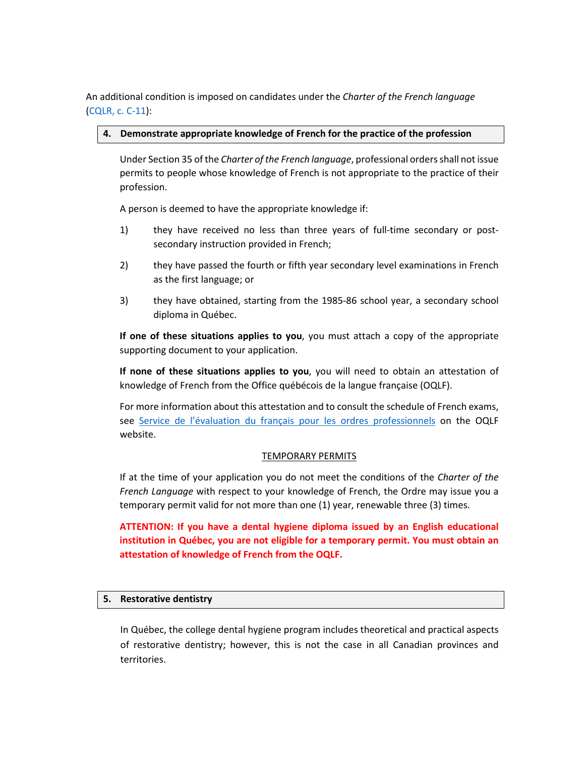An additional condition is imposed on candidates under the *Charter of the French language*  [\(CQLR, c. C-11\)](http://legisquebec.gouv.qc.ca/en/ShowDoc/cs/C-11):

# **4. Demonstrate appropriate knowledge of French for the practice of the profession**

Under Section 35 of the *Charter of the French language*, professional orders shall not issue permits to people whose knowledge of French is not appropriate to the practice of their profession.

A person is deemed to have the appropriate knowledge if:

- 1) they have received no less than three years of full-time secondary or postsecondary instruction provided in French;
- 2) they have passed the fourth or fifth year secondary level examinations in French as the first language; or
- 3) they have obtained, starting from the 1985-86 school year, a secondary school diploma in Québec.

**If one of these situations applies to you**, you must attach a copy of the appropriate supporting document to your application.

**If none of these situations applies to you**, you will need to obtain an attestation of knowledge of French from the Office québécois de la langue française (OQLF).

For more information about this attestation and to consult the schedule of French exams, see [Service de l'évaluation du français pour les ordres professionnels](https://www.oqlf.gouv.qc.ca/francisation/ordres_prof/ordres.html) on the OQLF website.

#### TEMPORARY PERMITS

If at the time of your application you do not meet the conditions of the *Charter of the French Language* with respect to your knowledge of French, the Ordre may issue you a temporary permit valid for not more than one (1) year, renewable three (3) times.

**ATTENTION: If you have a dental hygiene diploma issued by an English educational institution in Québec, you are not eligible for a temporary permit. You must obtain an attestation of knowledge of French from the OQLF.**

#### **5. Restorative dentistry**

In Québec, the college dental hygiene program includes theoretical and practical aspects of restorative dentistry; however, this is not the case in all Canadian provinces and territories.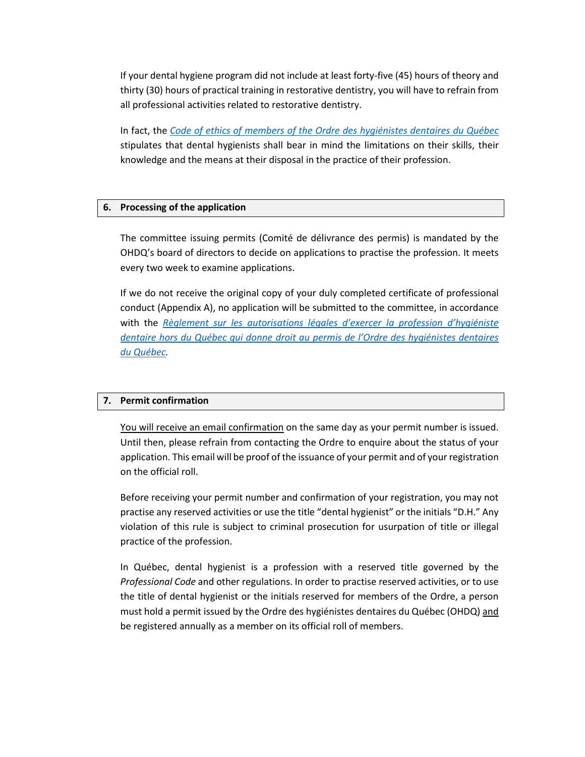If your dental hygiene program did not include at least forty-five (45) hours of theory and thirty (30) hours of practical training in restorative dentistry, you will have to refrain from all professional activities related to restorative dentistry.

In fact, the *[Code of ethics of members of the Ordre des hygiénistes dentaires du Québec](http://legisquebec.gouv.qc.ca/en/ShowDoc/cr/C-26,%20r.%20140)* stipulates that dental hygienists shall bear in mind the limitations on their skills, their knowledge and the means at their disposal in the practice of their profession.

# **6. Processing of the application**

The committee issuing permits (Comité de délivrance des permis) is mandated by the OHDQ's board of directors to decide on applications to practise the profession. It meets every two week to examine applications.

If we do not receive the original copy of your duly completed certificate of professional conduct (Appendix A), no application will be submitted to the committee, in accordance with the *[Règlement sur les autorisations légales d'exercer la profession d'hygiéniste](http://legisquebec.gouv.qc.ca/fr/ShowDoc/cr/C-26,%20r.%20137/)  [dentaire hors du Québec qui donne droit au permis de l'Ordre des hygiénistes dentaires](http://legisquebec.gouv.qc.ca/fr/ShowDoc/cr/C-26,%20r.%20137/)  [du Québec.](http://legisquebec.gouv.qc.ca/fr/ShowDoc/cr/C-26,%20r.%20137/)* 

# **7. Permit confirmation**

You will receive an email confirmation on the same day as your permit number is issued. Until then, please refrain from contacting the Ordre to enquire about the status of your application. This email will be proof of the issuance of your permit and of your registration on the official roll.

Before receiving your permit number and confirmation of your registration, you may not practise any reserved activities or use the title "dental hygienist" or the initials "D.H." Any violation of this rule is subject to criminal prosecution for usurpation of title or illegal practice of the profession.

In Québec, dental hygienist is a profession with a reserved title governed by the *Professional Code* and other regulations. In order to practise reserved activities, or to use the title of dental hygienist or the initials reserved for members of the Ordre, a person must hold a permit issued by the Ordre des hygiénistes dentaires du Québec (OHDQ) and be registered annually as a member on its official roll of members.